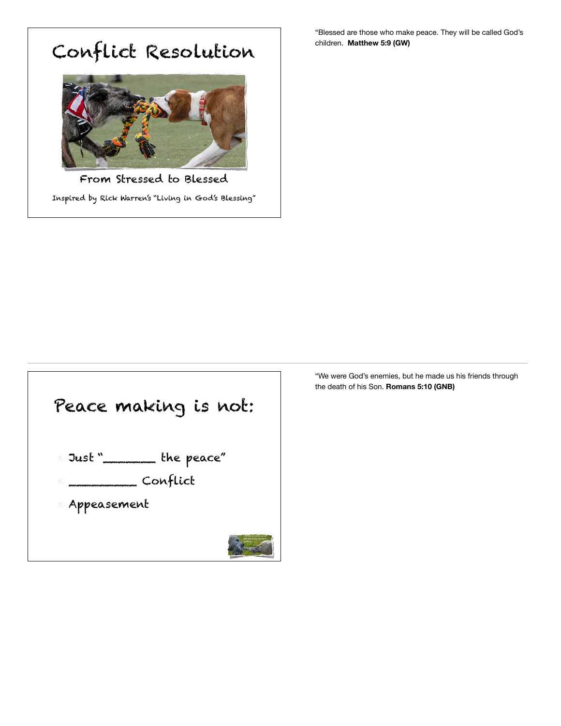## Conflict Resolution



From Stressed to Blessed Inspired by Rick Warren's "Living in God's Blessing"

"Blessed are those who make peace. They will be called God's children. **Matthew 5:9 (GW)** 



"We were God's enemies, but he made us his friends through the death of his Son. **Romans 5:10 (GNB)**